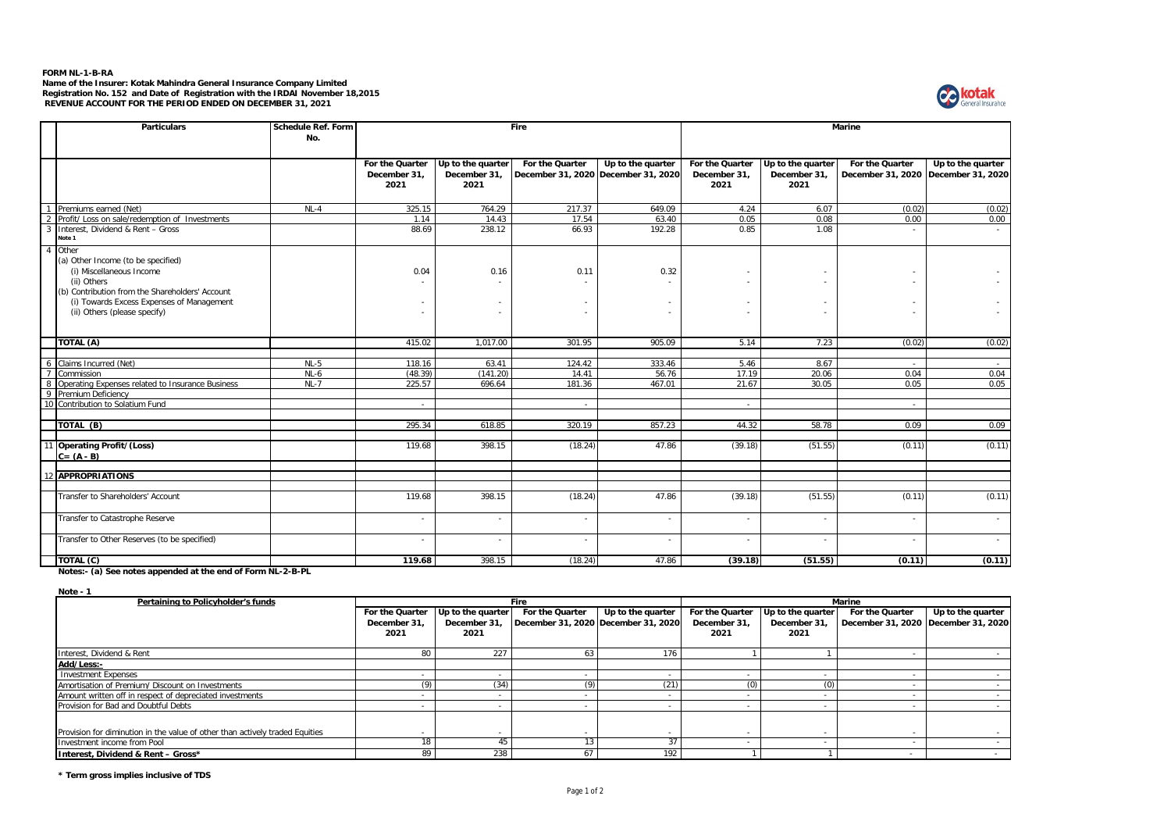## **FORM NL-1-B-RA**

Name of the Insurer: Kotak Mahindra General Insurance Company Limited<br>Registration No. 152 and Date of Registration with the IRDAI November 18,2015<br>REVENUE ACCOUNT FOR THE PERIOD ENDED ON DECEMBER 31, 2021



|                | <b>Particulars</b>                                                                                                                                                                                                     | <b>Schedule Ref. Form</b><br>No. | Fire                                    |                                           |                                                        | Marine              |                                         |                                           |                          |                                                          |
|----------------|------------------------------------------------------------------------------------------------------------------------------------------------------------------------------------------------------------------------|----------------------------------|-----------------------------------------|-------------------------------------------|--------------------------------------------------------|---------------------|-----------------------------------------|-------------------------------------------|--------------------------|----------------------------------------------------------|
|                |                                                                                                                                                                                                                        |                                  | For the Quarter<br>December 31.<br>2021 | Up to the quarter<br>December 31.<br>2021 | For the Quarter<br>December 31, 2020 December 31, 2020 | $Up$ to the quarter | For the Quarter<br>December 31.<br>2021 | Up to the quarter<br>December 31,<br>2021 | For the Quarter          | Up to the quarter<br>December 31, 2020 December 31, 2020 |
|                | Premiums earned (Net)                                                                                                                                                                                                  | $NL-4$                           | 325.15                                  | 764.29                                    | 217.37                                                 | 649.09              | 4.24                                    | 6.07                                      | (0.02)                   | (0.02)                                                   |
| $\overline{2}$ | Profit/ Loss on sale/redemption of Investments                                                                                                                                                                         |                                  | 1.14                                    | 14.43                                     | 17.54                                                  | 63.40               | 0.05                                    | 0.08                                      | 0.00                     | 0.00                                                     |
| $\overline{3}$ | Interest, Dividend & Rent - Gross<br>Note 1                                                                                                                                                                            |                                  | 88.69                                   | 238.12                                    | 66.93                                                  | 192.28              | 0.85                                    | 1.08                                      |                          |                                                          |
| $\overline{4}$ | Other<br>(a) Other Income (to be specified)<br>(i) Miscellaneous Income<br>(ii) Others<br>(b) Contribution from the Shareholders' Account<br>(i) Towards Excess Expenses of Management<br>(ii) Others (please specify) |                                  | 0.04                                    | 0.16                                      | 0.11                                                   | 0.32                | ٠<br>٠                                  |                                           |                          |                                                          |
|                | TOTAL (A)                                                                                                                                                                                                              |                                  | 415.02                                  | 1,017.00                                  | 301.95                                                 | 905.09              | 5.14                                    | 7.23                                      | (0.02)                   | (0.02)                                                   |
|                |                                                                                                                                                                                                                        |                                  |                                         |                                           |                                                        |                     |                                         |                                           |                          |                                                          |
| 6              | Claims Incurred (Net)                                                                                                                                                                                                  | $NL-5$                           | 118.16                                  | 63.41                                     | 124.42                                                 | 333.46              | 5.46                                    | 8.67                                      |                          | $\sim$                                                   |
| $\overline{7}$ | Commission                                                                                                                                                                                                             | $NL-6$                           | (48.39)                                 | (141.20)                                  | 14.41                                                  | 56.76               | 17.19                                   | 20.06                                     | 0.04                     | 0.04                                                     |
| 8              | Operating Expenses related to Insurance Business                                                                                                                                                                       | $NL-7$                           | 225.57                                  | 696.64                                    | 181.36                                                 | 467.01              | 21.67                                   | 30.05                                     | 0.05                     | 0.05                                                     |
|                | 9 Premium Deficiency                                                                                                                                                                                                   |                                  |                                         |                                           |                                                        |                     |                                         |                                           |                          |                                                          |
| 10             | Contribution to Solatium Fund                                                                                                                                                                                          |                                  |                                         |                                           |                                                        |                     | $\sim$                                  |                                           |                          |                                                          |
|                | TOTAL (B)                                                                                                                                                                                                              |                                  | 295.34                                  | 618.85                                    | 320.19                                                 | 857.23              | 44.32                                   | 58.78                                     | 0.09                     | 0.09                                                     |
|                | 11 Operating Profit/(Loss)<br>$C = (A - B)$                                                                                                                                                                            |                                  | 119.68                                  | 398.15                                    | (18.24)                                                | 47.86               | (39.18)                                 | (51.55)                                   | (0.11)                   | (0.11)                                                   |
| 12             | <b>APPROPRIATIONS</b>                                                                                                                                                                                                  |                                  |                                         |                                           |                                                        |                     |                                         |                                           |                          |                                                          |
|                | Transfer to Shareholders' Account                                                                                                                                                                                      |                                  | 119.68                                  | 398.15                                    | (18.24)                                                | 47.86               | (39.18)                                 | (51.55)                                   | (0.11)                   | (0.11)                                                   |
|                | Transfer to Catastrophe Reserve                                                                                                                                                                                        |                                  | ٠                                       | $\sim$                                    |                                                        | $\sim$              | $\sim$                                  | $\sim$                                    | ÷                        | $\overline{\phantom{a}}$                                 |
|                | Transfer to Other Reserves (to be specified)                                                                                                                                                                           |                                  | $\overline{\phantom{a}}$                | $\sim$                                    | ٠                                                      | ٠                   | ٠                                       | $\sim$                                    | $\overline{\phantom{a}}$ | $\sim$                                                   |
|                | TOTAL (C)                                                                                                                                                                                                              |                                  | 119.68                                  | 398.15                                    | (18.24)                                                | 47.86               | (39.18)                                 | (51.55)                                   | (0.11)                   | (0.11)                                                   |

**Notes:- (a) See notes appended at the end of Form NL-2-B-PL**

**Note - 1**

| Pertaining to Policyholder's funds                                           | <b>Fire</b>     |                   |                                     |                   | <b>Marine</b>   |                   |                                       |                   |
|------------------------------------------------------------------------------|-----------------|-------------------|-------------------------------------|-------------------|-----------------|-------------------|---------------------------------------|-------------------|
|                                                                              | For the Quarter | Up to the quarter | For the Quarter                     | Up to the quarter | For the Quarter | Up to the quarter | For the Quarter                       | Up to the quarter |
|                                                                              | December 31.    | December 31.      | December 31, 2020 December 31, 2020 |                   | December 31.    | December 31       | December 31, 2020   December 31, 2020 |                   |
|                                                                              | 2021            | 2021              |                                     |                   | 2021            | 2021              |                                       |                   |
|                                                                              |                 |                   |                                     |                   |                 |                   |                                       |                   |
| Interest, Dividend & Rent                                                    | 80              | 227               |                                     | 176               |                 |                   |                                       |                   |
| Add/Less:-                                                                   |                 |                   |                                     |                   |                 |                   |                                       |                   |
| <b>Investment Expenses</b>                                                   |                 |                   |                                     |                   |                 |                   |                                       |                   |
| Amortisation of Premium/ Discount on Investments                             | (9              | (34)              |                                     | (21)              | (0)             | ເບາ               |                                       |                   |
| Amount written off in respect of depreciated investments                     |                 |                   |                                     |                   |                 |                   |                                       |                   |
| Provision for Bad and Doubtful Debts                                         |                 |                   |                                     |                   |                 |                   |                                       |                   |
|                                                                              |                 |                   |                                     |                   |                 |                   |                                       |                   |
| Provision for diminution in the value of other than actively traded Equities |                 |                   |                                     |                   |                 |                   |                                       |                   |
| Investment income from Pool                                                  | 18              |                   |                                     |                   |                 |                   |                                       |                   |
| Interest, Dividend & Rent - Gross*                                           | 89              | 238               |                                     | 192               |                 |                   |                                       |                   |

**\* Term gross implies inclusive of TDS**